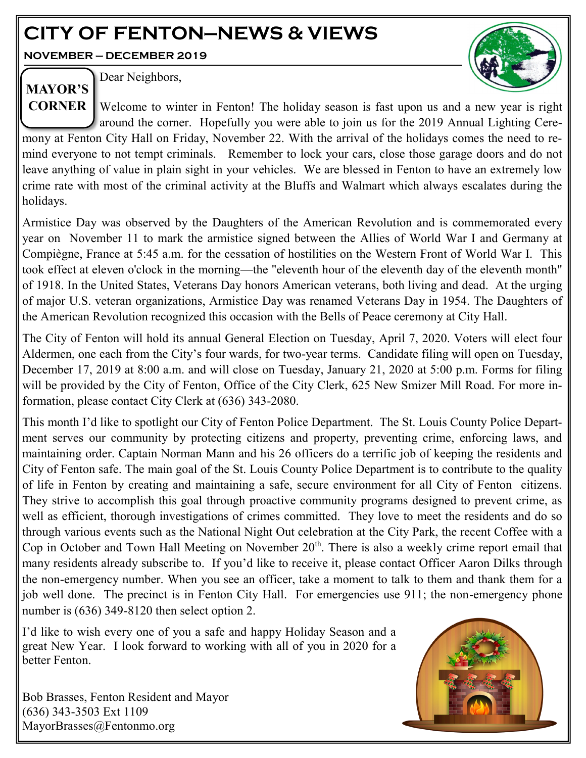# **CITY OF FENTON—NEWS & VIEWS**

**NOVEMBER — DECEMBER 2019**



Dear Neighbors, **MAYOR'S** 

**CORNER** Welcome to winter in Fenton! The holiday season is fast upon us and a new year is right around the corner. Hopefully you were able to join us for the 2019 Annual Lighting Ceremony at Fenton City Hall on Friday, November 22. With the arrival of the holidays comes the need to remind everyone to not tempt criminals. Remember to lock your cars, close those garage doors and do not leave anything of value in plain sight in your vehicles. We are blessed in Fenton to have an extremely low crime rate with most of the criminal activity at the Bluffs and Walmart which always escalates during the holidays.

Armistice Day was observed by the Daughters of the American Revolution and is commemorated every year on November 11 to mark the armistice signed between the Allies of World War I and Germany at Compiègne, France at 5:45 a.m. for the cessation of hostilities on the Western Front of World War I. This took effect at eleven o'clock in the morning—the "eleventh hour of the eleventh day of the eleventh month" of 1918. In the United States, Veterans Day honors American veterans, both living and dead. At the urging of major U.S. veteran organizations, Armistice Day was renamed Veterans Day in 1954. The Daughters of the American Revolution recognized this occasion with the Bells of Peace ceremony at City Hall.

The City of Fenton will hold its annual General Election on Tuesday, April 7, 2020. Voters will elect four Aldermen, one each from the City's four wards, for two-year terms. Candidate filing will open on Tuesday, December 17, 2019 at 8:00 a.m. and will close on Tuesday, January 21, 2020 at 5:00 p.m. Forms for filing will be provided by the City of Fenton, Office of the City Clerk, 625 New Smizer Mill Road. For more information, please contact City Clerk at (636) 343-2080.

This month I'd like to spotlight our City of Fenton Police Department. The [St. Louis County Police Depart](http://www.stlouisco.com/police/)[ment s](http://www.stlouisco.com/police/)erves our community by protecting citizens and property, preventing crime, enforcing laws, and maintaining order. Captain Norman Mann and his 26 officers do a terrific job of keeping the residents and City of Fenton safe. The main goal of the [St. Louis County Police Department i](http://www.stlouisco.com/police/)s to contribute to the quality of life in Fenton by creating and maintaining a safe, secure environment for all City of Fenton citizens. They strive to accomplish this goal through proactive community programs designed to prevent crime, as well as efficient, thorough investigations of crimes committed. They love to meet the residents and do so through various events such as the National Night Out celebration at the City Park, the recent Coffee with a Cop in October and Town Hall Meeting on November  $20<sup>th</sup>$ . There is also a weekly crime report email that many residents already subscribe to. If you'd like to receive it, please contact Officer Aaron Dilks through the non-emergency number. When you see an officer, take a moment to talk to them and thank them for a job well done. The precinct is in Fenton City Hall. For emergencies use 911; the non-emergency phone number is (636) 349-8120 then select option 2.

I'd like to wish every one of you a safe and happy Holiday Season and a great New Year. I look forward to working with all of you in 2020 for a better Fenton.

Bob Brasses, Fenton Resident and Mayor (636) 343-3503 Ext 1109 MayorBrasses@Fentonmo.org

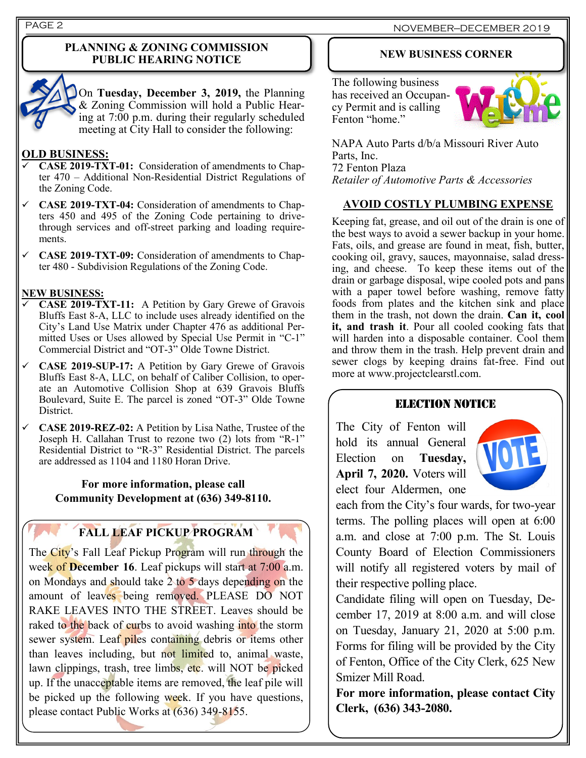### **PLANNING & ZONING COMMISSION PUBLIC HEARING NOTICE**



On **Tuesday, December 3, 2019,** the Planning & Zoning Commission will hold a Public Hearing at 7:00 p.m. during their regularly scheduled meeting at City Hall to consider the following:

### **OLD BUSINESS:**

- ✓ **CASE 2019-TXT-01:** Consideration of amendments to Chapter 470 – Additional Non-Residential District Regulations of the Zoning Code.
- ✓ **CASE 2019-TXT-04:** Consideration of amendments to Chapters 450 and 495 of the Zoning Code pertaining to drivethrough services and off-street parking and loading requirements.
- ✓ **CASE 2019-TXT-09:** Consideration of amendments to Chapter 480 - Subdivision Regulations of the Zoning Code.

### **NEW BUSINESS:**

- ✓ **CASE 2019-TXT-11:** A Petition by Gary Grewe of Gravois Bluffs East 8-A, LLC to include uses already identified on the City's Land Use Matrix under Chapter 476 as additional Permitted Uses or Uses allowed by Special Use Permit in "C-1" Commercial District and "OT-3" Olde Towne District.
- ✓ **CASE 2019-SUP-17:** A Petition by Gary Grewe of Gravois Bluffs East 8-A, LLC, on behalf of Caliber Collision, to operate an Automotive Collision Shop at 639 Gravois Bluffs Boulevard, Suite E. The parcel is zoned "OT-3" Olde Towne District.
- ✓ **CASE 2019-REZ-02:** A Petition by Lisa Nathe, Trustee of the Joseph H. Callahan Trust to rezone two (2) lots from "R-1" Residential District to "R-3" Residential District. The parcels are addressed as 1104 and 1180 Horan Drive.

### **For more information, please call Community Development at (636) 349-8110.**

# **FALL LEAF PICKUP PROGRAM**

The City's Fall Leaf Pickup Program will run through the week of **December 16**. Leaf pickups will start at 7:00 a.m. on Mondays and should take  $2$  to 5 days depending on the amount of leaves being removed. PLEASE DO NOT RAKE LEAVES INTO THE STREET. Leaves should be raked to the back of curbs to avoid washing into the storm sewer system. Leaf piles containing debris or items other than leaves including, but not limited to, animal waste, lawn clippings, trash, tree limbs, etc. will NOT be picked up. If the unacceptable items are removed, the leaf pile will be picked up the following week. If you have questions, please contact Public Works at (636) 349-8155.

### **NEW BUSINESS CORNER**

The following business has received an Occupancy Permit and is calling Fenton "home."



NAPA Auto Parts d/b/a Missouri River Auto Parts, Inc. 72 Fenton Plaza *Retailer of Automotive Parts & Accessories*

### **AVOID COSTLY PLUMBING EXPENSE**

Keeping fat, grease, and oil out of the drain is one of the best ways to avoid a sewer backup in your home. Fats, oils, and grease are found in meat, fish, butter, cooking oil, gravy, sauces, mayonnaise, salad dressing, and cheese. To keep these items out of the drain or garbage disposal, wipe cooled pots and pans with a paper towel before washing, remove fatty foods from plates and the kitchen sink and place them in the trash, not down the drain. **Can it, cool it, and trash it**. Pour all cooled cooking fats that will harden into a disposable container. Cool them and throw them in the trash. Help prevent drain and sewer clogs by keeping drains fat‐free. Find out more at www.projectclearstl.com.

### ELECTION NOTICE

The City of Fenton will hold its annual General Election on **Tuesday, April 7, 2020.** Voters will elect four Aldermen, one



each from the City's four wards, for two-year terms. The polling places will open at 6:00 a.m. and close at 7:00 p.m. The St. Louis County Board of Election Commissioners will notify all registered voters by mail of their respective polling place.

Candidate filing will open on Tuesday, December 17, 2019 at 8:00 a.m. and will close on Tuesday, January 21, 2020 at 5:00 p.m. Forms for filing will be provided by the City of Fenton, Office of the City Clerk, 625 New Smizer Mill Road.

**For more information, please contact City Clerk, (636) 343-2080.**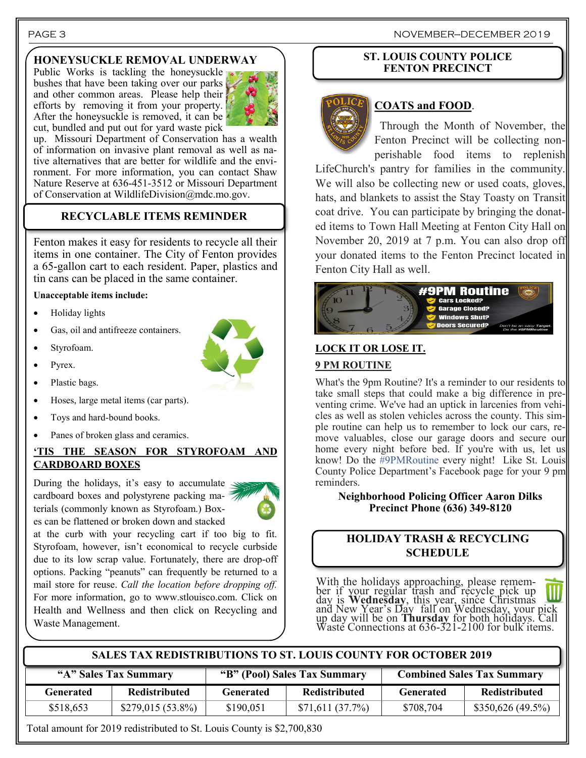## **HONEYSUCKLE REMOVAL UNDERWAY**

Public Works is tackling the honeysuckle bushes that have been taking over our parks and other common areas. Please help their efforts by removing it from your property. After the honeysuckle is removed, it can be cut, bundled and put out for yard waste pick



up. Missouri Department of Conservation has a wealth of information on invasive plant removal as well as native alternatives that are better for wildlife and the environment. For more information, you can contact Shaw Nature Reserve at 636-451-3512 or Missouri Department of Conservation at WildlifeDivision@mdc.mo.gov.

## **RECYCLABLE ITEMS REMINDER**

Fenton makes it easy for residents to recycle all their items in one container. The City of Fenton provides a 65-gallon cart to each resident. Paper, plastics and tin cans can be placed in the same container.

#### **Unacceptable items include:**

- Holiday lights
- Gas, oil and antifreeze containers.
- Styrofoam.
- Pyrex.
- Plastic bags.
- Hoses, large metal items (car parts).
- Toys and hard-bound books.
- Panes of broken glass and ceramics.

### **'TIS THE SEASON FOR STYROFOAM AND CARDBOARD BOXES**

During the holidays, it's easy to accumulate  $\leq$ cardboard boxes and polystyrene packing materials (commonly known as Styrofoam.) Boxes can be flattened or broken down and stacked



at the curb with your recycling cart if too big to fit. Styrofoam, however, isn't economical to recycle curbside due to its low scrap value. Fortunately, there are drop-off options. Packing "peanuts" can frequently be returned to a mail store for reuse. *Call the location before dropping off.*  For more information, go to www.stlouisco.com. Click on Health and Wellness and then click on Recycling and Waste Management.

### **ST. LOUIS COUNTY POLICE FENTON PRECINCT**



### **COATS and FOOD**.

Through the Month of November, the Fenton Precinct will be collecting nonperishable food items to replenish

LifeChurch's pantry for families in the community. We will also be collecting new or used coats, gloves, hats, and blankets to assist the Stay Toasty on Transit coat drive. You can participate by bringing the donated items to Town Hall Meeting at Fenton City Hall on November 20, 2019 at 7 p.m. You can also drop off your donated items to the Fenton Precinct located in Fenton City Hall as well.



# **LOCK IT OR LOSE IT.**

### **9 PM ROUTINE**

What's the 9pm Routine? It's a reminder to our residents to take small steps that could make a big difference in preventing crime. We've had an uptick in larcenies from vehicles as well as stolen vehicles across the county. This simple routine can help us to remember to lock our cars, remove valuables, close our garage doors and secure our home every night before bed. If you're with us, let us know! Do the [#9PMRoutine](https://www.facebook.com/hashtag/9pmroutine?source=feed_text&epa=HASHTAG&__xts__%5B0%5D=68.ARCxWTnXVfZEyvBlR6wUactiaWI9u-TC2975Pl4QUQle74EBYyVJUBMADltEzmhrwCfr6zrNRO5yI-7qslbGO7jzliGFyCiIWFReXFIqwhubIpaXLuULw3wbIUD2UM4Ixfc-J7JAfWl2hLQ_6JbKDIRxOIXsIB5CuP5lN-5O) every night! Like St. Louis County Police Department's Facebook page for your 9 pm reminders.

**Neighborhood Policing Officer Aaron Dilks Precinct Phone (636) 349-8120**

### **HOLIDAY TRASH & RECYCLING SCHEDULE**

With the holidays approaching, please remember if your regular trash and recycle pick up day is **Wednesday**, this year, since Christmas and New Year's Day fall on Wednesday, your pick up day will be on **Thursday** for both holidays. Call Waste Connections at  $636-321-2100$  for bulk items.

### **SALES TAX REDISTRIBUTIONS TO ST. LOUIS COUNTY FOR OCTOBER 2019**

| "A" Sales Tax Summary |                      | "B" (Pool) Sales Tax Summary |                      | <b>Combined Sales Tax Summary</b> |                      |
|-----------------------|----------------------|------------------------------|----------------------|-----------------------------------|----------------------|
| Generated             | <b>Redistributed</b> | <b>Generated</b>             | <b>Redistributed</b> | <b>Generated</b>                  | <b>Redistributed</b> |
| \$518,653             | $$279,015(53.8\%)$   | \$190,051                    | \$71,611(37.7%)      | \$708,704                         | \$350,626 (49.5%)    |

Total amount for 2019 redistributed to St. Louis County is \$2,700,830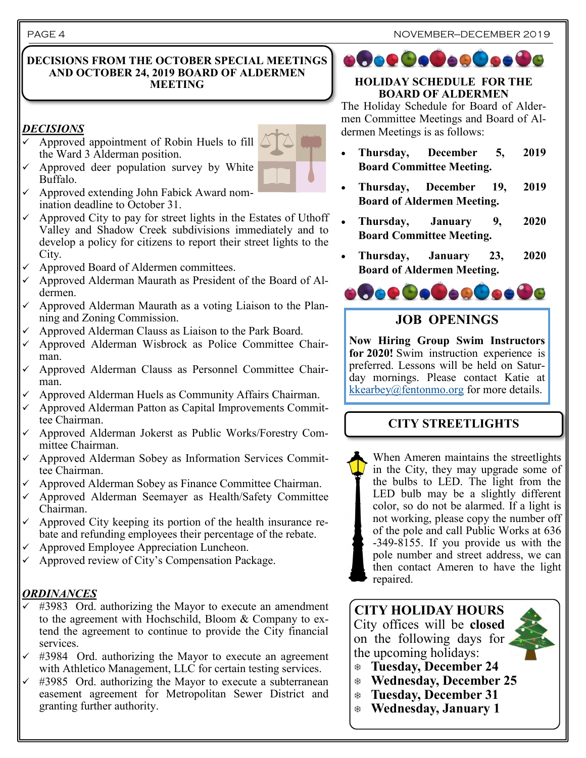### **DECISIONS FROM THE OCTOBER SPECIAL MEETINGS AND OCTOBER 24, 2019 BOARD OF ALDERMEN MEETING**

## *DECISIONS*

✓ Approved appointment of Robin Huels to fill the Ward 3 Alderman position.



- Approved deer population survey by White Buffalo.
- ✓ Approved extending John Fabick Award nomination deadline to October 31.
- Approved City to pay for street lights in the Estates of Uthoff Valley and Shadow Creek subdivisions immediately and to develop a policy for citizens to report their street lights to the City.
- Approved Board of Aldermen committees.
- Approved Alderman Maurath as President of the Board of Aldermen.
- Approved Alderman Maurath as a voting Liaison to the Planning and Zoning Commission.
- Approved Alderman Clauss as Liaison to the Park Board.
- ✓ Approved Alderman Wisbrock as Police Committee Chairman.
- ✓ Approved Alderman Clauss as Personnel Committee Chairman.
- Approved Alderman Huels as Community Affairs Chairman.
- ✓ Approved Alderman Patton as Capital Improvements Committee Chairman.
- ✓ Approved Alderman Jokerst as Public Works/Forestry Committee Chairman.
- ✓ Approved Alderman Sobey as Information Services Committee Chairman.
- Approved Alderman Sobey as Finance Committee Chairman.
- ✓ Approved Alderman Seemayer as Health/Safety Committee Chairman.
- Approved City keeping its portion of the health insurance rebate and refunding employees their percentage of the rebate.
- Approved Employee Appreciation Luncheon.
- $\checkmark$  Approved review of City's Compensation Package.

# *ORDINANCES*

- #3983 Ord. authorizing the Mayor to execute an amendment to the agreement with Hochschild, Bloom & Company to extend the agreement to continue to provide the City financial services.
- #3984 Ord. authorizing the Mayor to execute an agreement with Athletico Management, LLC for certain testing services.
- #3985 Ord. authorizing the Mayor to execute a subterranean easement agreement for Metropolitan Sewer District and granting further authority.

# **ofoe@o@oo@oo@o**

### **HOLIDAY SCHEDULE FOR THE BOARD OF ALDERMEN**

The Holiday Schedule for Board of Aldermen Committee Meetings and Board of Aldermen Meetings is as follows:

- **Thursday, December 5, 2019 Board Committee Meeting.**
- **Thursday, December 19, 2019 Board of Aldermen Meeting.**
- **Thursday, January 9, 2020 Board Committee Meeting.**
- **Thursday, January 23, 2020 Board of Aldermen Meeting.**



# **JOB OPENINGS**

**Now Hiring Group Swim Instructors for 2020!** Swim instruction experience is preferred. Lessons will be held on Saturday mornings. Please contact Katie at  $kkearbey@fentonmo.org$  for more details.

# **CITY STREETLIGHTS**

When Ameren maintains the streetlights in the City, they may upgrade some of the bulbs to LED. The light from the LED bulb may be a slightly different color, so do not be alarmed. If a light is not working, please copy the number off of the pole and call Public Works at 636 -349-8155. If you provide us with the pole number and street address, we can then contact Ameren to have the light repaired.

# **CITY HOLIDAY HOURS** City offices will be **closed**  on the following days for

the upcoming holidays:

- **Tuesday, December 24**
- **Wednesday, December 25**
- **Tuesday, December 31**
- **Wednesday, January 1**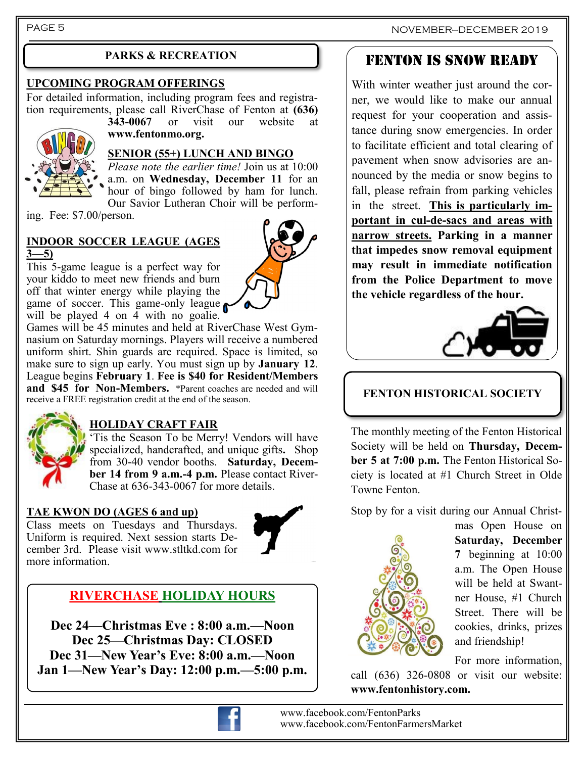PAGE 5

### **UPCOMING PROGRAM OFFERINGS**

For detailed information, including program fees and registration requirements, please call RiverChase of Fenton at **(636)**<br>343-0067 or visit our website at or visit our website

**www.fentonmo.org.**



# **SENIOR (55+) LUNCH AND BINGO**

*Please note the earlier time!* Join us at 10:00 a.m. on **Wednesday, December 11** for an hour of bingo followed by ham for lunch. Our Savior Lutheran Choir will be perform-

ing. Fee: \$7.00/person.

### **INDOOR SOCCER LEAGUE (AGES 3—5)**

This 5-game league is a perfect way for your kiddo to meet new friends and burn off that winter energy while playing the game of soccer. This game-only league will be played 4 on 4 with no goalie.



Games will be 45 minutes and held at RiverChase West Gymnasium on Saturday mornings. Players will receive a numbered uniform shirt. Shin guards are required. Space is limited, so make sure to sign up early. You must sign up by **January 12**. League begins **February 1**. **Fee is \$40 for Resident/Members and \$45 for Non-Members.** \*Parent coaches are needed and will receive a FREE registration credit at the end of the season.



# **HOLIDAY CRAFT FAIR**

Tis the Season To be Merry! Vendors will have specialized, handcrafted, and unique gifts**.** Shop from 30-40 vendor booths. **Saturday, December 14 from 9 a.m.-4 p.m.** Please contact River-Chase at 636-343-0067 for more details.

### **TAE KWON DO (AGES 6 and up)**

Class meets on Tuesdays and Thursdays. Uniform is required. Next session starts December 3rd. Please visit www.stltkd.com for more information.



# **RIVERCHASE HOLIDAY HOURS**

**Dec 24—Christmas Eve : 8:00 a.m.—Noon Dec 25—Christmas Day: CLOSED Dec 31—New Year's Eve: 8:00 a.m.—Noon Jan 1—New Year's Day: 12:00 p.m.—5:00 p.m.**



 www.facebook.com/FentonParks www.facebook.com/FentonFarmersMarket

# PARKS & RECREATION **FENTON IS SNOW READY**

With winter weather just around the corner, we would like to make our annual request for your cooperation and assistance during snow emergencies. In order to facilitate efficient and total clearing of pavement when snow advisories are announced by the media or snow begins to fall, please refrain from parking vehicles in the street. **This is particularly important in cul-de-sacs and areas with narrow streets. Parking in a manner that impedes snow removal equipment may result in immediate notification from the Police Department to move the vehicle regardless of the hour.**



# **FENTON HISTORICAL SOCIETY**

The monthly meeting of the Fenton Historical Society will be held on **Thursday, December 5 at 7:00 p.m.** The Fenton Historical Society is located at #1 Church Street in Olde Towne Fenton.

Stop by for a visit during our Annual Christ-



mas Open House on **Saturday, December 7** beginning at 10:00 a.m. The Open House will be held at Swantner House, #1 Church Street. There will be cookies, drinks, prizes and friendship!

For more information,

call (636) 326-0808 or visit our website: **www.fentonhistory.com.**